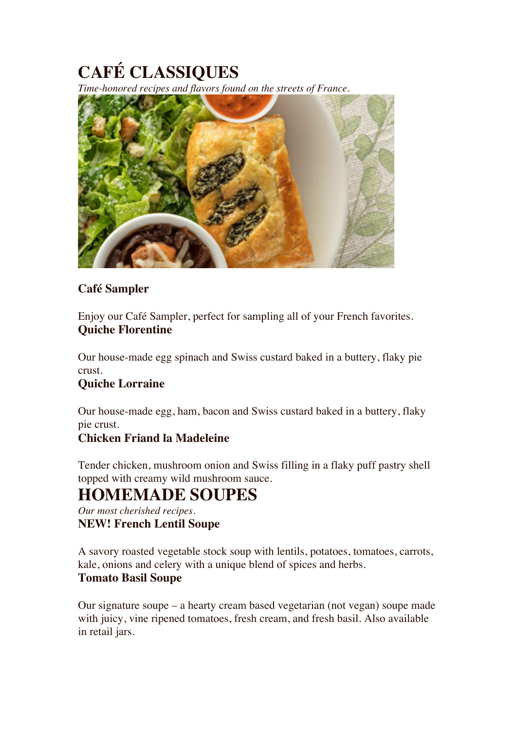# **CAFÉ CLASSIQUES**

*Time-honored recipes and flavors found on the streets of France.*



### **Café Sampler**

Enjoy our Café Sampler, perfect for sampling all of your French favorites. **Quiche Florentine**

Our house-made egg spinach and Swiss custard baked in a buttery, flaky pie crust.

### **Quiche Lorraine**

Our house-made egg, ham, bacon and Swiss custard baked in a buttery, flaky pie crust.

### **Chicken Friand la Madeleine**

Tender chicken, mushroom onion and Swiss filling in a flaky puff pastry shell topped with creamy wild mushroom sauce.

### **HOMEMADE SOUPES**

*Our most cherished recipes.* **NEW! French Lentil Soupe**

A savory roasted vegetable stock soup with lentils, potatoes, tomatoes, carrots, kale, onions and celery with a unique blend of spices and herbs. **Tomato Basil Soupe**

Our signature soupe – a hearty cream based vegetarian (not vegan) soupe made with juicy, vine ripened tomatoes, fresh cream, and fresh basil. Also available in retail jars.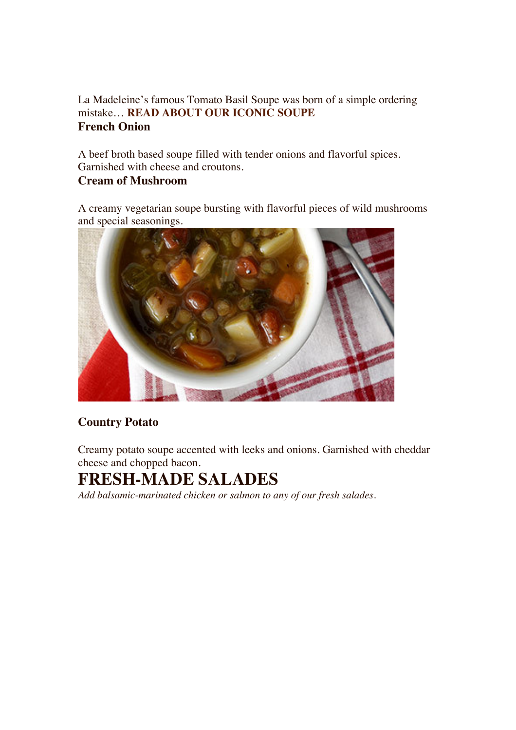### La Madeleine's famous Tomato Basil Soupe was born of a simple ordering mistake… **READ ABOUT OUR ICONIC SOUPE French Onion**

A beef broth based soupe filled with tender onions and flavorful spices. Garnished with cheese and croutons.

### **Cream of Mushroom**

A creamy vegetarian soupe bursting with flavorful pieces of wild mushrooms and special seasonings.



### **Country Potato**

Creamy potato soupe accented with leeks and onions. Garnished with cheddar cheese and chopped bacon.

### **FRESH-MADE SALADES**

*Add balsamic-marinated chicken or salmon to any of our fresh salades.*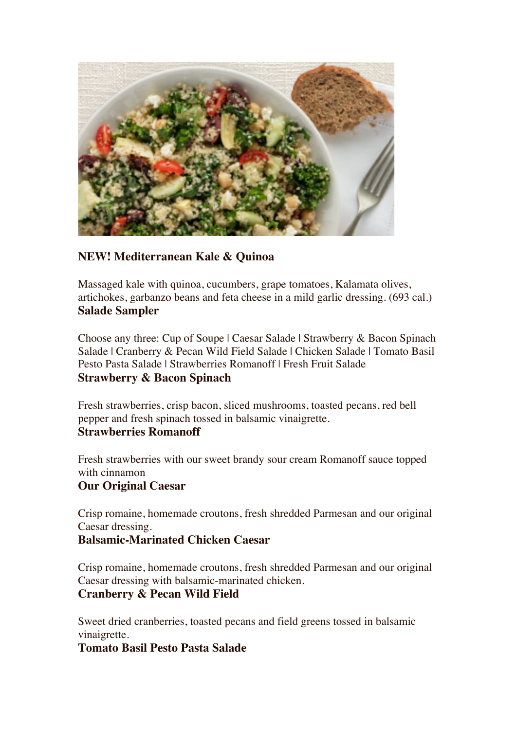

### **NEW! Mediterranean Kale & Quinoa**

Massaged kale with quinoa, cucumbers, grape tomatoes, Kalamata olives, artichokes, garbanzo beans and feta cheese in a mild garlic dressing. (693 cal.) **Salade Sampler**

Choose any three: Cup of Soupe | Caesar Salade | Strawberry & Bacon Spinach Salade | Cranberry & Pecan Wild Field Salade | Chicken Salade | Tomato Basil Pesto Pasta Salade | Strawberries Romanoff | Fresh Fruit Salade **Strawberry & Bacon Spinach**

Fresh strawberries, crisp bacon, sliced mushrooms, toasted pecans, red bell pepper and fresh spinach tossed in balsamic vinaigrette. **Strawberries Romanoff**

Fresh strawberries with our sweet brandy sour cream Romanoff sauce topped with cinnamon

### **Our Original Caesar**

Crisp romaine, homemade croutons, fresh shredded Parmesan and our original Caesar dressing.

### **Balsamic-Marinated Chicken Caesar**

Crisp romaine, homemade croutons, fresh shredded Parmesan and our original Caesar dressing with balsamic-marinated chicken. **Cranberry & Pecan Wild Field**

Sweet dried cranberries, toasted pecans and field greens tossed in balsamic vinaigrette.

### **Tomato Basil Pesto Pasta Salade**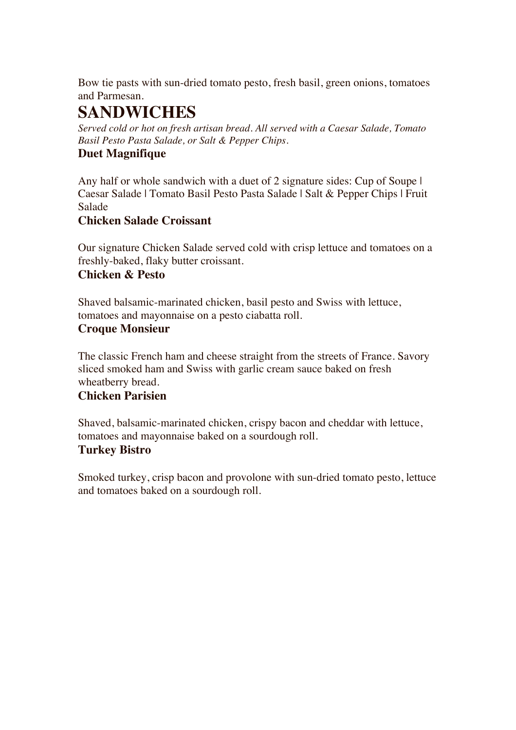Bow tie pasts with sun-dried tomato pesto, fresh basil, green onions, tomatoes and Parmesan.

## **SANDWICHES**

*Served cold or hot on fresh artisan bread. All served with a Caesar Salade, Tomato Basil Pesto Pasta Salade, or Salt & Pepper Chips.*

### **Duet Magnifique**

Any half or whole sandwich with a duet of 2 signature sides: Cup of Soupe I Caesar Salade | Tomato Basil Pesto Pasta Salade | Salt & Pepper Chips | Fruit Salade

### **Chicken Salade Croissant**

Our signature Chicken Salade served cold with crisp lettuce and tomatoes on a freshly-baked, flaky butter croissant.

### **Chicken & Pesto**

Shaved balsamic-marinated chicken, basil pesto and Swiss with lettuce, tomatoes and mayonnaise on a pesto ciabatta roll.

### **Croque Monsieur**

The classic French ham and cheese straight from the streets of France. Savory sliced smoked ham and Swiss with garlic cream sauce baked on fresh wheatberry bread.

### **Chicken Parisien**

Shaved, balsamic-marinated chicken, crispy bacon and cheddar with lettuce, tomatoes and mayonnaise baked on a sourdough roll.

### **Turkey Bistro**

Smoked turkey, crisp bacon and provolone with sun-dried tomato pesto, lettuce and tomatoes baked on a sourdough roll.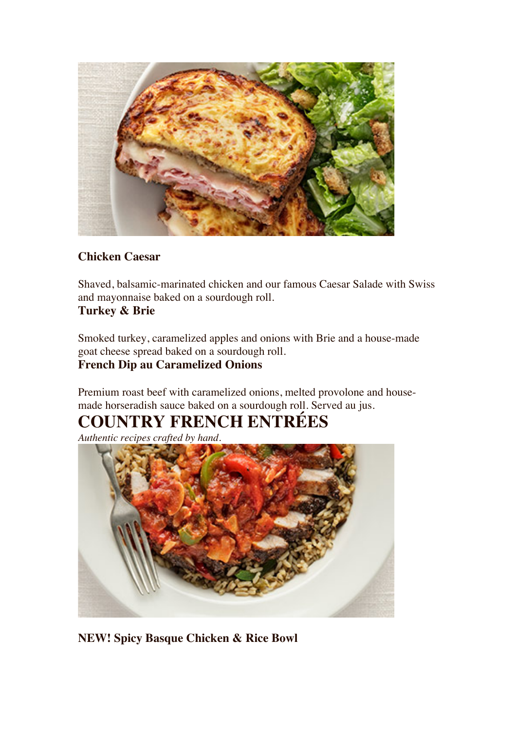

### **Chicken Caesar**

Shaved, balsamic-marinated chicken and our famous Caesar Salade with Swiss and mayonnaise baked on a sourdough roll. **Turkey & Brie**

Smoked turkey, caramelized apples and onions with Brie and a house-made goat cheese spread baked on a sourdough roll.

### **French Dip au Caramelized Onions**

Premium roast beef with caramelized onions, melted provolone and housemade horseradish sauce baked on a sourdough roll. Served au jus.

## **COUNTRY FRENCH ENTRÉES**

*Authentic recipes crafted by hand.*



**NEW! Spicy Basque Chicken & Rice Bowl**